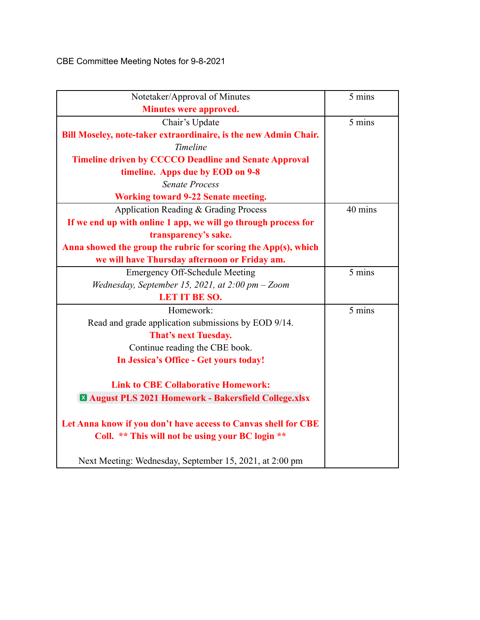CBE Committee Meeting Notes for 9-8-2021

| Notetaker/Approval of Minutes                                    | 5 mins  |
|------------------------------------------------------------------|---------|
| <b>Minutes were approved.</b>                                    |         |
| Chair's Update                                                   | 5 mins  |
| Bill Moseley, note-taker extraordinaire, is the new Admin Chair. |         |
| Timeline                                                         |         |
| <b>Timeline driven by CCCCO Deadline and Senate Approval</b>     |         |
| timeline. Apps due by EOD on 9-8                                 |         |
| <b>Senate Process</b>                                            |         |
| <b>Working toward 9-22 Senate meeting.</b>                       |         |
| Application Reading & Grading Process                            | 40 mins |
| If we end up with online 1 app, we will go through process for   |         |
| transparency's sake.                                             |         |
| Anna showed the group the rubric for scoring the App(s), which   |         |
| we will have Thursday afternoon or Friday am.                    |         |
| <b>Emergency Off-Schedule Meeting</b>                            | 5 mins  |
| Wednesday, September 15, 2021, at $2:00$ pm $-$ Zoom             |         |
| <b>LET IT BE SO.</b>                                             |         |
| Homework:                                                        | 5 mins  |
| Read and grade application submissions by EOD 9/14.              |         |
| That's next Tuesday.                                             |         |
| Continue reading the CBE book.                                   |         |
| In Jessica's Office - Get yours today!                           |         |
| <b>Link to CBE Collaborative Homework:</b>                       |         |
| <b>El August PLS 2021 Homework - Bakersfield College.xlsx</b>    |         |
|                                                                  |         |
| Let Anna know if you don't have access to Canvas shell for CBE   |         |
| Coll. ** This will not be using your BC login **                 |         |
| Next Meeting: Wednesday, September 15, 2021, at 2:00 pm          |         |